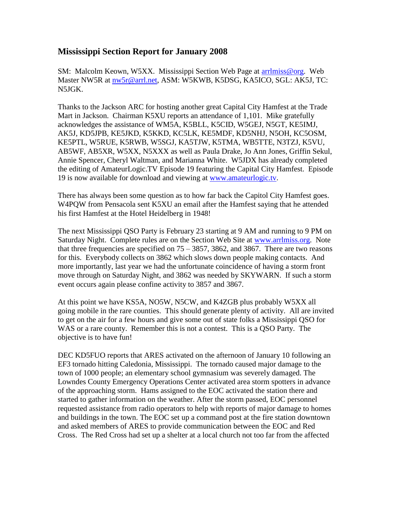## **Mississippi Section Report for January 2008**

SM: Malcolm Keown, W5XX. Mississippi Section Web Page at arrilmiss@org. Web Master NW5R at [nw5r@arrl.net,](mailto:nw5r@arrl.net) ASM: W5KWB, K5DSG, KA5ICO, SGL: AK5J, TC: N5JGK.

Thanks to the Jackson ARC for hosting another great Capital City Hamfest at the Trade Mart in Jackson. Chairman K5XU reports an attendance of 1,101. Mike gratefully acknowledges the assistance of WM5A, K5BLL, K5CID, W5GEJ, N5GT, KE5IMJ, AK5J, KD5JPB, KE5JKD, K5KKD, KC5LK, KE5MDF, KD5NHJ, N5OH, KC5OSM, KE5PTL, W5RUE, K5RWB, W5SGJ, KA5TJW, K5TMA, WB5TTE, N3TZJ, K5VU, AB5WF, AB5XR, W5XX, N5XXX as well as Paula Drake, Jo Ann Jones, Griffin Sekul, Annie Spencer, Cheryl Waltman, and Marianna White. W5JDX has already completed the editing of AmateurLogic.TV Episode 19 featuring the Capital City Hamfest. Episode 19 is now available for download and viewing at [www.amateurlogic.tv.](http://www.amateurlogic.tv/)

There has always been some question as to how far back the Capitol City Hamfest goes. W4PQW from Pensacola sent K5XU an email after the Hamfest saying that he attended his first Hamfest at the Hotel Heidelberg in 1948!

The next Mississippi QSO Party is February 23 starting at 9 AM and running to 9 PM on Saturday Night. Complete rules are on the Section Web Site at [www.arrlmiss.org.](http://www.arrlmiss.org/) Note that three frequencies are specified on  $75 - 3857$ , 3862, and 3867. There are two reasons for this. Everybody collects on 3862 which slows down people making contacts. And more importantly, last year we had the unfortunate coincidence of having a storm front move through on Saturday Night, and 3862 was needed by SKYWARN. If such a storm event occurs again please confine activity to 3857 and 3867.

At this point we have KS5A, NO5W, N5CW, and K4ZGB plus probably W5XX all going mobile in the rare counties. This should generate plenty of activity. All are invited to get on the air for a few hours and give some out of state folks a Mississippi QSO for WAS or a rare county. Remember this is not a contest. This is a QSO Party. The objective is to have fun!

DEC KD5FUO reports that ARES activated on the afternoon of January 10 following an EF3 tornado hitting Caledonia, Mississippi. The tornado caused major damage to the town of 1000 people; an elementary school gymnasium was severely damaged. The Lowndes County Emergency Operations Center activated area storm spotters in advance of the approaching storm. Hams assigned to the EOC activated the station there and started to gather information on the weather. After the storm passed, EOC personnel requested assistance from radio operators to help with reports of major damage to homes and buildings in the town. The EOC set up a command post at the fire station downtown and asked members of ARES to provide communication between the EOC and Red Cross. The Red Cross had set up a shelter at a local church not too far from the affected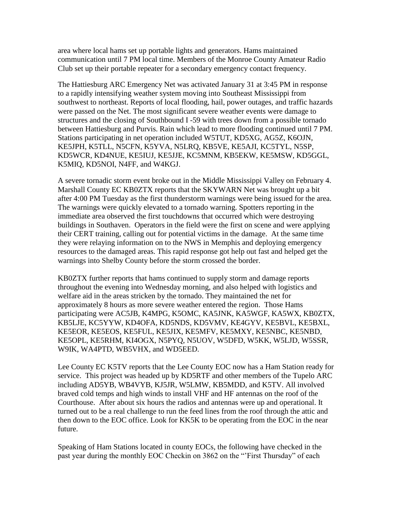area where local hams set up portable lights and generators. Hams maintained communication until 7 PM local time. Members of the Monroe County Amateur Radio Club set up their portable repeater for a secondary emergency contact frequency.

The Hattiesburg ARC Emergency Net was activated January 31 at 3:45 PM in response to a rapidly intensifying weather system moving into Southeast Mississippi from southwest to northeast. Reports of local flooding, hail, power outages, and traffic hazards were passed on the Net. The most significant severe weather events were damage to structures and the closing of Southbound I -59 with trees down from a possible tornado between Hattiesburg and Purvis. Rain which lead to more flooding continued until 7 PM. Stations participating in net operation included W5TUT, KD5XG, AG5Z, K6OJN, KE5JPH, K5TLL, N5CFN, K5YVA, N5LRQ, KB5VE, KE5AJI, KC5TYL, N5SP, KD5WCR, KD4NUE, KE5IUJ, KE5JJE, KC5MNM, KB5EKW, KE5MSW, KD5GGL, K5MIQ, KD5NOI, N4FF, and W4KGJ.

A severe tornadic storm event broke out in the Middle Mississippi Valley on February 4. Marshall County EC KB0ZTX reports that the SKYWARN Net was brought up a bit after 4:00 PM Tuesday as the first thunderstorm warnings were being issued for the area. The warnings were quickly elevated to a tornado warning. Spotters reporting in the immediate area observed the first touchdowns that occurred which were destroying buildings in Southaven. Operators in the field were the first on scene and were applying their CERT training, calling out for potential victims in the damage. At the same time they were relaying information on to the NWS in Memphis and deploying emergency resources to the damaged areas. This rapid response got help out fast and helped get the warnings into Shelby County before the storm crossed the border.

KB0ZTX further reports that hams continued to supply storm and damage reports throughout the evening into Wednesday morning, and also helped with logistics and welfare aid in the areas stricken by the tornado. They maintained the net for approximately 8 hours as more severe weather entered the region. Those Hams participating were AC5JB, K4MPG, K5OMC, KA5JNK, KA5WGF, KA5WX, KB0ZTX, KB5LJE, KC5YYW, KD4OFA, KD5NDS, KD5VMV, KE4GYV, KE5BVL, KE5BXL, KE5EOR, KE5EOS, KE5FUL, KE5JIX, KE5MFV, KE5MXY, KE5NBC, KE5NBD, KE5OPL, KE5RHM, KI4OGX, N5PYQ, N5UOV, W5DFD, W5KK, W5LJD, W5SSR, W9IK, WA4PTD, WB5VHX, and WD5EED.

Lee County EC K5TV reports that the Lee County EOC now has a Ham Station ready for service. This project was headed up by KD5RTF and other members of the Tupelo ARC including AD5YB, WB4VYB, KJ5JR, W5LMW, KB5MDD, and K5TV. All involved braved cold temps and high winds to install VHF and HF antennas on the roof of the Courthouse. After about six hours the radios and antennas were up and operational. It turned out to be a real challenge to run the feed lines from the roof through the attic and then down to the EOC office. Look for KK5K to be operating from the EOC in the near future.

Speaking of Ham Stations located in county EOCs, the following have checked in the past year during the monthly EOC Checkin on 3862 on the "'First Thursday" of each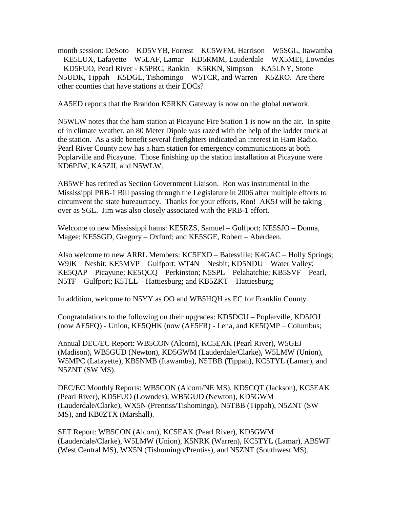month session: DeSoto – KD5VYB, Forrest – KC5WFM, Harrison – W5SGL, Itawamba – KE5LUX, Lafayette – W5LAF, Lamar – KD5RMM, Lauderdale – WX5MEI, Lowndes – KD5FUO, Pearl River - K5PRC, Rankin – K5RKN, Simpson – KA5LNY, Stone – N5UDK, Tippah – K5DGL, Tishomingo – W5TCR, and Warren – K5ZRO. Are there other counties that have stations at their EOCs?

AA5ED reports that the Brandon K5RKN Gateway is now on the global network.

N5WLW notes that the ham station at Picayune Fire Station 1 is now on the air. In spite of in climate weather, an 80 Meter Dipole was razed with the help of the ladder truck at the station. As a side benefit several firefighters indicated an interest in Ham Radio. Pearl River County now has a ham station for emergency communications at both Poplarville and Picayune. Those finishing up the station installation at Picayune were KD6PJW, KA5ZII, and N5WLW.

AB5WF has retired as Section Government Liaison. Ron was instrumental in the Mississippi PRB-1 Bill passing through the Legislature in 2006 after multiple efforts to circumvent the state bureaucracy. Thanks for your efforts, Ron! AK5J will be taking over as SGL. Jim was also closely associated with the PRB-1 effort.

Welcome to new Mississippi hams: KE5RZS, Samuel – Gulfport; KE5SJO – Donna, Magee; KE5SGD, Gregory – Oxford; and KE5SGE, Robert – Aberdeen.

Also welcome to new ARRL Members: KC5FXD – Batesville; K4GAC – Holly Springs; W9IK – Nesbit; KE5MVP – Gulfport; WT4N – Nesbit; KD5NDU – Water Valley; KE5QAP – Picayune; KE5QCQ – Perkinston; N5SPL – Pelahatchie; KB5SVF – Pearl, N5TF – Gulfport; K5TLL – Hattiesburg; and KB5ZKT – Hattiesburg;

In addition, welcome to N5YY as OO and WB5HQH as EC for Franklin County.

Congratulations to the following on their upgrades: KD5DCU – Poplarville, KD5JOJ (now AE5FQ) - Union, KE5QHK (now (AE5FR) - Lena, and KE5QMP – Columbus;

Annual DEC/EC Report: WB5CON (Alcorn), KC5EAK (Pearl River), W5GEJ (Madison), WB5GUD (Newton), KD5GWM (Lauderdale/Clarke), W5LMW (Union), W5MPC (Lafayette), KB5NMB (Itawamba), N5TBB (Tippah), KC5TYL (Lamar), and N5ZNT (SW MS).

DEC/EC Monthly Reports: WB5CON (Alcorn/NE MS), KD5CQT (Jackson), KC5EAK (Pearl River), KD5FUO (Lowndes), WB5GUD (Newton), KD5GWM (Lauderdale/Clarke), WX5N (Prentiss/Tishomingo), N5TBB (Tippah), N5ZNT (SW MS), and KB0ZTX (Marshall).

SET Report: WB5CON (Alcorn), KC5EAK (Pearl River), KD5GWM (Lauderdale/Clarke), W5LMW (Union), K5NRK (Warren), KC5TYL (Lamar), AB5WF (West Central MS), WX5N (Tishomingo/Prentiss), and N5ZNT (Southwest MS).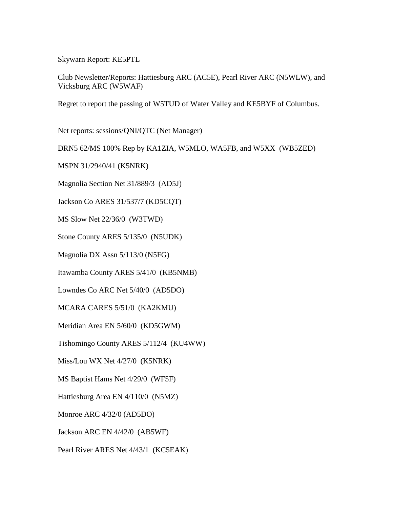Skywarn Report: KE5PTL

Club Newsletter/Reports: Hattiesburg ARC (AC5E), Pearl River ARC (N5WLW), and Vicksburg ARC (W5WAF)

Regret to report the passing of W5TUD of Water Valley and KE5BYF of Columbus.

Net reports: sessions/QNI/QTC (Net Manager)

DRN5 62/MS 100% Rep by KA1ZIA, W5MLO, WA5FB, and W5XX (WB5ZED)

MSPN 31/2940/41 (K5NRK)

Magnolia Section Net 31/889/3 (AD5J)

Jackson Co ARES 31/537/7 (KD5CQT)

MS Slow Net 22/36/0 (W3TWD)

Stone County ARES 5/135/0 (N5UDK)

Magnolia DX Assn 5/113/0 (N5FG)

Itawamba County ARES 5/41/0 (KB5NMB)

Lowndes Co ARC Net 5/40/0 (AD5DO)

MCARA CARES 5/51/0 (KA2KMU)

Meridian Area EN 5/60/0 (KD5GWM)

Tishomingo County ARES 5/112/4 (KU4WW)

Miss/Lou WX Net 4/27/0 (K5NRK)

MS Baptist Hams Net 4/29/0 (WF5F)

Hattiesburg Area EN 4/110/0 (N5MZ)

Monroe ARC 4/32/0 (AD5DO)

Jackson ARC EN 4/42/0 (AB5WF)

Pearl River ARES Net 4/43/1 (KC5EAK)